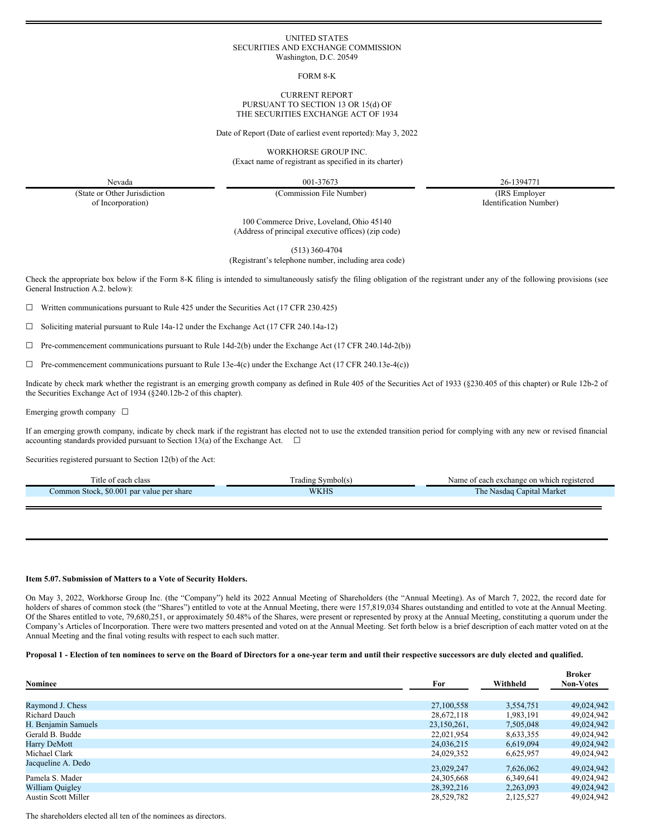#### UNITED STATES SECURITIES AND EXCHANGE COMMISSION Washington, D.C. 20549

FORM 8-K

#### CURRENT REPORT PURSUANT TO SECTION 13 OR 15(d) OF THE SECURITIES EXCHANGE ACT OF 1934

Date of Report (Date of earliest event reported): May 3, 2022

WORKHORSE GROUP INC. (Exact name of registrant as specified in its charter)

Nevada 001-37673 26-1394771

(State or Other Jurisdiction of Incorporation)

(Commission File Number) (IRS Employer

Identification Number)

100 Commerce Drive, Loveland, Ohio 45140 (Address of principal executive offices) (zip code)

(513) 360-4704

(Registrant's telephone number, including area code)

Check the appropriate box below if the Form 8-K filing is intended to simultaneously satisfy the filing obligation of the registrant under any of the following provisions (see General Instruction A.2. below):

 $\Box$  Written communications pursuant to Rule 425 under the Securities Act (17 CFR 230.425)

☐ Soliciting material pursuant to Rule 14a-12 under the Exchange Act (17 CFR 240.14a-12)

 $\Box$  Pre-commencement communications pursuant to Rule 14d-2(b) under the Exchange Act (17 CFR 240.14d-2(b))

☐ Pre-commencement communications pursuant to Rule 13e-4(c) under the Exchange Act (17 CFR 240.13e-4(c))

Indicate by check mark whether the registrant is an emerging growth company as defined in Rule 405 of the Securities Act of 1933 (§230.405 of this chapter) or Rule 12b-2 of the Securities Exchange Act of 1934 (§240.12b-2 of this chapter).

Emerging growth company  $\Box$ 

If an emerging growth company, indicate by check mark if the registrant has elected not to use the extended transition period for complying with any new or revised financial accounting standards provided pursuant to Section 13(a) of the Exchange Act.  $\Box$ 

Securities registered pursuant to Section 12(b) of the Act:

| Title.<br>class<br>each                   | Symbol(s)<br>l radıng<br>. | Name<br>e on which registered<br>exchange<br>each        |
|-------------------------------------------|----------------------------|----------------------------------------------------------|
| Common Stock, \$0.001 par value per share | WKHS                       | The <b>The </b><br>Capital Market<br>Nasdag <sup>T</sup> |
|                                           |                            |                                                          |

# **Item 5.07. Submission of Matters to a Vote of Security Holders.**

On May 3, 2022, Workhorse Group Inc. (the "Company") held its 2022 Annual Meeting of Shareholders (the "Annual Meeting). As of March 7, 2022, the record date for holders of shares of common stock (the "Shares") entitled to vote at the Annual Meeting, there were 157,819,034 Shares outstanding and entitled to vote at the Annual Meeting. Of the Shares entitled to vote, 79,680,251, or approximately 50.48% of the Shares, were present or represented by proxy at the Annual Meeting, constituting a quorum under the Company's Articles of Incorporation. There were two matters presented and voted on at the Annual Meeting. Set forth below is a brief description of each matter voted on at the Annual Meeting and the final voting results with respect to each such matter.

### Proposal 1 - Election of ten nominees to serve on the Board of Directors for a one-year term and until their respective successors are duly elected and qualified.

|                            |             |           | <b>Broker</b>    |
|----------------------------|-------------|-----------|------------------|
| Nominee                    | For         | Withheld  | <b>Non-Votes</b> |
|                            |             |           |                  |
| Raymond J. Chess           | 27,100,558  | 3,554,751 | 49,024,942       |
| <b>Richard Dauch</b>       | 28,672,118  | 1,983,191 | 49,024,942       |
| H. Benjamin Samuels        | 23,150,261, | 7,505,048 | 49,024,942       |
| Gerald B. Budde            | 22,021,954  | 8,633,355 | 49,024,942       |
| Harry DeMott               | 24,036,215  | 6.619.094 | 49,024,942       |
| Michael Clark              | 24,029,352  | 6,625,957 | 49,024,942       |
| Jacqueline A. Dedo         | 23,029,247  | 7,626,062 | 49,024,942       |
| Pamela S. Mader            | 24,305,668  | 6,349,641 | 49,024,942       |
| William Quigley            | 28,392,216  | 2,263,093 | 49,024,942       |
| <b>Austin Scott Miller</b> | 28,529,782  | 2,125,527 | 49,024,942       |

The shareholders elected all ten of the nominees as directors.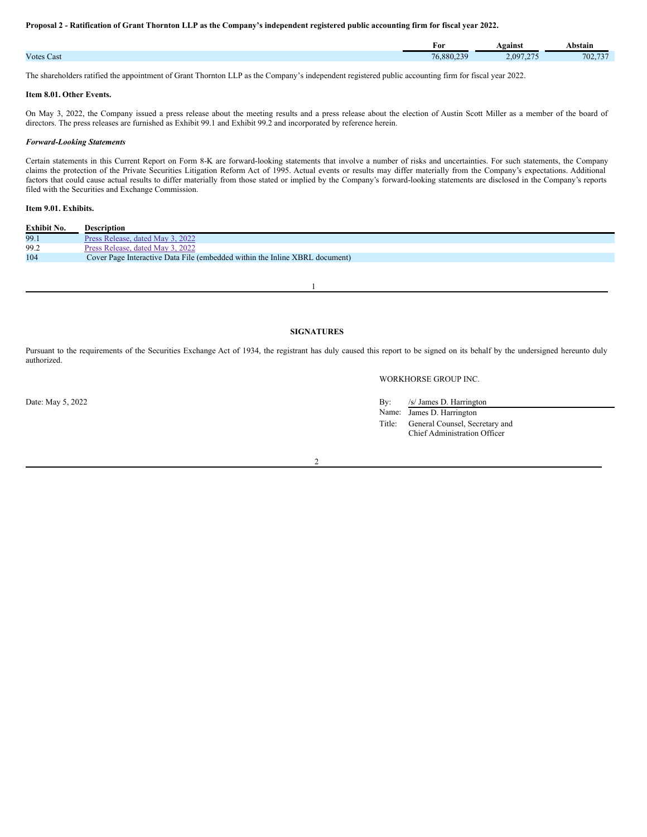#### Proposal 2 - Ratification of Grant Thornton LLP as the Company's independent registered public accounting firm for fiscal year 2022.

|                   | For        | Against   | Abstain |
|-------------------|------------|-----------|---------|
| <b>Votes Cast</b> | 76,880,239 | 2.097.275 | 702,737 |

The shareholders ratified the appointment of Grant Thornton LLP as the Company's independent registered public accounting firm for fiscal year 2022.

#### **Item 8.01. Other Events.**

On May 3, 2022, the Company issued a press release about the meeting results and a press release about the election of Austin Scott Miller as a member of the board of directors. The press releases are furnished as Exhibit 99.1 and Exhibit 99.2 and incorporated by reference herein.

## *Forward-Looking Statements*

Certain statements in this Current Report on Form 8-K are forward-looking statements that involve a number of risks and uncertainties. For such statements, the Company claims the protection of the Private Securities Litigation Reform Act of 1995. Actual events or results may differ materially from the Company's expectations. Additional factors that could cause actual results to differ materially from those stated or implied by the Company's forward-looking statements are disclosed in the Company's reports filed with the Securities and Exchange Commission.

# **Item 9.01. Exhibits.**

| Exhibit No. | Description                                                                 |
|-------------|-----------------------------------------------------------------------------|
| 99.1        | Press Release, dated May 3, 2022                                            |
| 99.2        | Press Release, dated May 3, 2022                                            |
| 104         | Cover Page Interactive Data File (embedded within the Inline XBRL document) |

1

# **SIGNATURES**

Pursuant to the requirements of the Securities Exchange Act of 1934, the registrant has duly caused this report to be signed on its behalf by the undersigned hereunto duly authorized.

### WORKHORSE GROUP INC.

Date: May 5, 2022 By: /s/ James D. Harrington

Name: James D. Harrington Title: General Counsel, Secretary and Chief Administration Officer

 $\overline{2}$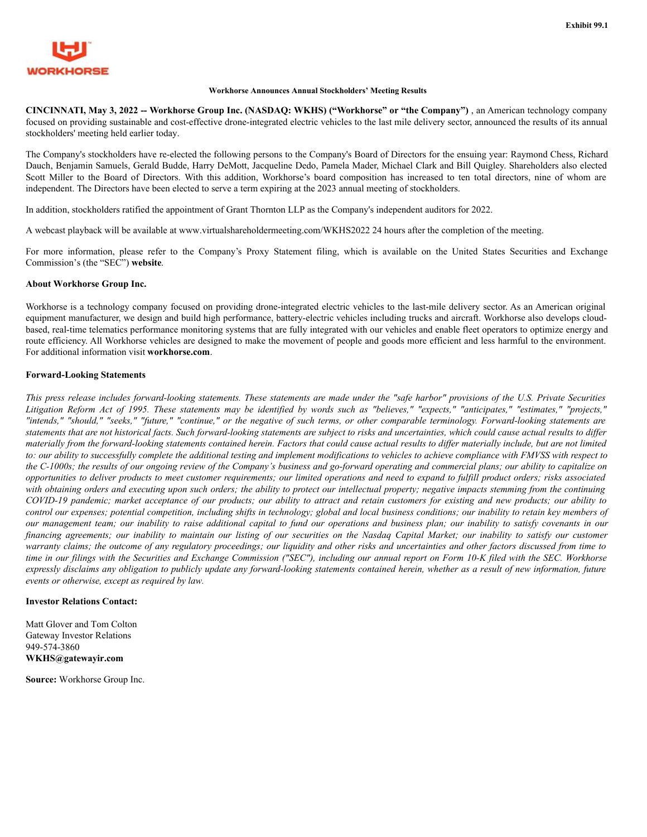<span id="page-2-0"></span>

# **Workhorse Announces Annual Stockholders' Meeting Results**

**CINCINNATI, May 3, 2022 -- Workhorse Group Inc. (NASDAQ: WKHS) ("Workhorse" or "the Company")** , an American technology company focused on providing sustainable and cost-effective drone-integrated electric vehicles to the last mile delivery sector, announced the results of its annual stockholders' meeting held earlier today.

The Company's stockholders have re-elected the following persons to the Company's Board of Directors for the ensuing year: Raymond Chess, Richard Dauch, Benjamin Samuels, Gerald Budde, Harry DeMott, Jacqueline Dedo, Pamela Mader, Michael Clark and Bill Quigley. Shareholders also elected Scott Miller to the Board of Directors. With this addition, Workhorse's board composition has increased to ten total directors, nine of whom are independent. The Directors have been elected to serve a term expiring at the 2023 annual meeting of stockholders.

In addition, stockholders ratified the appointment of Grant Thornton LLP as the Company's independent auditors for 2022.

A webcast playback will be available at www.virtualshareholdermeeting.com/WKHS2022 24 hours after the completion of the meeting.

For more information, please refer to the Company's Proxy Statement filing, which is available on the United States Securities and Exchange Commission's (the "SEC") **website**.

# **About Workhorse Group Inc.**

Workhorse is a technology company focused on providing drone-integrated electric vehicles to the last-mile delivery sector. As an American original equipment manufacturer, we design and build high performance, battery-electric vehicles including trucks and aircraft. Workhorse also develops cloudbased, real-time telematics performance monitoring systems that are fully integrated with our vehicles and enable fleet operators to optimize energy and route efficiency. All Workhorse vehicles are designed to make the movement of people and goods more efficient and less harmful to the environment. For additional information visit **workhorse.com**.

# **Forward-Looking Statements**

This press release includes forward-looking statements. These statements are made under the "safe harbor" provisions of the U.S. Private Securities Litigation Reform Act of 1995. These statements may be identified by words such as "believes," "expects," "anticipates," "estimates," "projects," "intends," "should," "seeks," "future," "continue," or the negative of such terms, or other comparable terminology. Forward-looking statements are statements that are not historical facts. Such forward-looking statements are subject to risks and uncertainties, which could cause actual results to differ materially from the forward-looking statements contained herein. Factors that could cause actual results to differ materially include, but are not limited to: our ability to successfully complete the additional testing and implement modifications to vehicles to achieve compliance with FMVSS with respect to the C-1000s; the results of our ongoing review of the Company's business and go-forward operating and commercial plans; our ability to capitalize on opportunities to deliver products to meet customer requirements; our limited operations and need to expand to fulfill product orders; risks associated with obtaining orders and executing upon such orders; the ability to protect our intellectual property; negative impacts stemming from the continuing COVID-19 pandemic; market acceptance of our products; our ability to attract and retain customers for existing and new products; our ability to control our expenses; potential competition, including shifts in technology; global and local business conditions; our inability to retain key members of our management team; our inability to raise additional capital to fund our operations and business plan; our inability to satisfy covenants in our financing agreements; our inability to maintain our listing of our securities on the Nasdaq Capital Market; our inability to satisfy our customer warranty claims; the outcome of any regulatory proceedings; our liquidity and other risks and uncertainties and other factors discussed from time to time in our filings with the Securities and Exchange Commission ("SEC"), including our annual report on Form 10-K filed with the SEC. Workhorse expressly disclaims any obligation to publicly update any forward-looking statements contained herein, whether as a result of new information, future *events or otherwise, except as required by law.*

## **Investor Relations Contact:**

Matt Glover and Tom Colton Gateway Investor Relations 949-574-3860 **WKHS@gatewayir.com**

**Source:** Workhorse Group Inc.